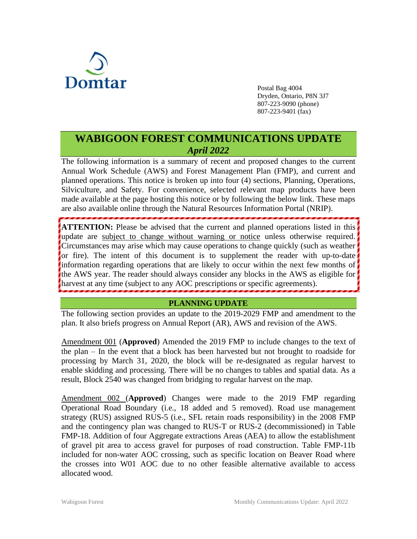

Postal Bag 4004 Dryden, Ontario, P8N 3J7 807-223-9090 (phone) 807-223-9401 (fax)

# **WABIGOON FOREST COMMUNICATIONS UPDATE** *April 2022*

The following information is a summary of recent and proposed changes to the current Annual Work Schedule (AWS) and Forest Management Plan (FMP), and current and planned operations. This notice is broken up into four (4) sections, Planning, Operations, Silviculture, and Safety. For convenience, selected relevant map products have been made available at the page hosting this notice or by following the below link. These maps are also available online through the Natural Resources Information Portal (NRIP).

**ATTENTION:** Please be advised that the current and planned operations listed in this update are subject to change without warning or notice unless otherwise required. Circumstances may arise which may cause operations to change quickly (such as weather or fire). The intent of this document is to supplement the reader with up-to-date information regarding operations that are likely to occur within the next few months of the AWS year. The reader should always consider any blocks in the AWS as eligible for harvest at any time (subject to any AOC prescriptions or specific agreements).

### **PLANNING UPDATE**

The following section provides an update to the 2019-2029 FMP and amendment to the plan. It also briefs progress on Annual Report (AR), AWS and revision of the AWS.

Amendment 001 (**Approved**) Amended the 2019 FMP to include changes to the text of the plan – In the event that a block has been harvested but not brought to roadside for processing by March 31, 2020, the block will be re-designated as regular harvest to enable skidding and processing. There will be no changes to tables and spatial data. As a result, Block 2540 was changed from bridging to regular harvest on the map.

Amendment 002 (**Approved**) Changes were made to the 2019 FMP regarding Operational Road Boundary (i.e., 18 added and 5 removed). Road use management strategy (RUS) assigned RUS-5 (i.e., SFL retain roads responsibility) in the 2008 FMP and the contingency plan was changed to RUS-T or RUS-2 (decommissioned) in Table FMP-18. Addition of four Aggregate extractions Areas (AEA) to allow the establishment of gravel pit area to access gravel for purposes of road construction. Table FMP-11b included for non-water AOC crossing, such as specific location on Beaver Road where the crosses into W01 AOC due to no other feasible alternative available to access allocated wood.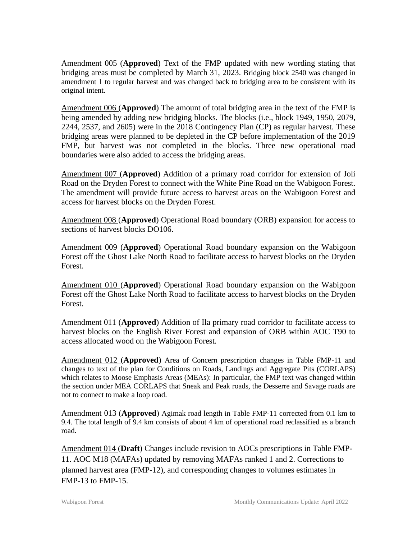Amendment 005 (**Approved**) Text of the FMP updated with new wording stating that bridging areas must be completed by March 31, 2023. Bridging block 2540 was changed in amendment 1 to regular harvest and was changed back to bridging area to be consistent with its original intent.

Amendment 006 (**Approved**) The amount of total bridging area in the text of the FMP is being amended by adding new bridging blocks. The blocks (i.e., block 1949, 1950, 2079, 2244, 2537, and 2605) were in the 2018 Contingency Plan (CP) as regular harvest. These bridging areas were planned to be depleted in the CP before implementation of the 2019 FMP, but harvest was not completed in the blocks. Three new operational road boundaries were also added to access the bridging areas.

Amendment 007 (**Approved**) Addition of a primary road corridor for extension of Joli Road on the Dryden Forest to connect with the White Pine Road on the Wabigoon Forest. The amendment will provide future access to harvest areas on the Wabigoon Forest and access for harvest blocks on the Dryden Forest.

Amendment 008 (**Approved**) Operational Road boundary (ORB) expansion for access to sections of harvest blocks DO106.

Amendment 009 (**Approved**) Operational Road boundary expansion on the Wabigoon Forest off the Ghost Lake North Road to facilitate access to harvest blocks on the Dryden Forest.

Amendment 010 (**Approved**) Operational Road boundary expansion on the Wabigoon Forest off the Ghost Lake North Road to facilitate access to harvest blocks on the Dryden Forest.

Amendment 011 (**Approved**) Addition of Ila primary road corridor to facilitate access to harvest blocks on the English River Forest and expansion of ORB within AOC T90 to access allocated wood on the Wabigoon Forest.

Amendment 012 (**Approved**) Area of Concern prescription changes in Table FMP-11 and changes to text of the plan for Conditions on Roads, Landings and Aggregate Pits (CORLAPS) which relates to Moose Emphasis Areas (MEAs): In particular, the FMP text was changed within the section under MEA CORLAPS that Sneak and Peak roads, the Desserre and Savage roads are not to connect to make a loop road.

Amendment 013 (**Approved**) Agimak road length in Table FMP-11 corrected from 0.1 km to 9.4. The total length of 9.4 km consists of about 4 km of operational road reclassified as a branch road.

Amendment 014 (**Draft**) Changes include revision to AOCs prescriptions in Table FMP-11. AOC M18 (MAFAs) updated by removing MAFAs ranked 1 and 2. Corrections to planned harvest area (FMP-12), and corresponding changes to volumes estimates in FMP-13 to FMP-15.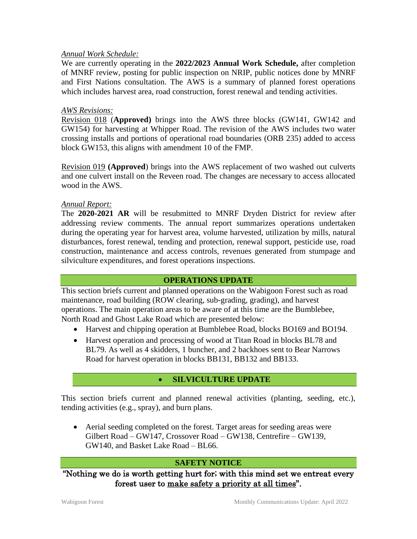#### *Annual Work Schedule:*

We are currently operating in the **2022/2023 Annual Work Schedule,** after completion of MNRF review, posting for public inspection on NRIP, public notices done by MNRF and First Nations consultation. The AWS is a summary of planned forest operations which includes harvest area, road construction, forest renewal and tending activities.

#### *AWS Revisions:*

Revision 018 (**Approved)** brings into the AWS three blocks (GW141, GW142 and GW154) for harvesting at Whipper Road. The revision of the AWS includes two water crossing installs and portions of operational road boundaries (ORB 235) added to access block GW153, this aligns with amendment 10 of the FMP.

Revision 019 **(Approved**) brings into the AWS replacement of two washed out culverts and one culvert install on the Reveen road. The changes are necessary to access allocated wood in the AWS.

#### *Annual Report:*

The **2020-2021 AR** will be resubmitted to MNRF Dryden District for review after addressing review comments. The annual report summarizes operations undertaken during the operating year for harvest area, volume harvested, utilization by mills, natural disturbances, forest renewal, tending and protection, renewal support, pesticide use, road construction, maintenance and access controls, revenues generated from stumpage and silviculture expenditures, and forest operations inspections.

## **OPERATIONS UPDATE**

This section briefs current and planned operations on the Wabigoon Forest such as road maintenance, road building (ROW clearing, sub-grading, grading), and harvest operations. The main operation areas to be aware of at this time are the Bumblebee, North Road and Ghost Lake Road which are presented below:

- Harvest and chipping operation at Bumblebee Road, blocks BO169 and BO194.
- Harvest operation and processing of wood at Titan Road in blocks BL78 and BL79. As well as 4 skidders, 1 buncher, and 2 backhoes sent to Bear Narrows Road for harvest operation in blocks BB131, BB132 and BB133.

## • **SILVICULTURE UPDATE**

This section briefs current and planned renewal activities (planting, seeding, etc.), tending activities (e.g., spray), and burn plans.

• Aerial seeding completed on the forest. Target areas for seeding areas were Gilbert Road – GW147, Crossover Road – GW138, Centrefire – GW139, GW140, and Basket Lake Road – BL66.

#### **SAFETY NOTICE**

"Nothing we do is worth getting hurt for; with this mind set we entreat every forest user to make safety a priority at all times".